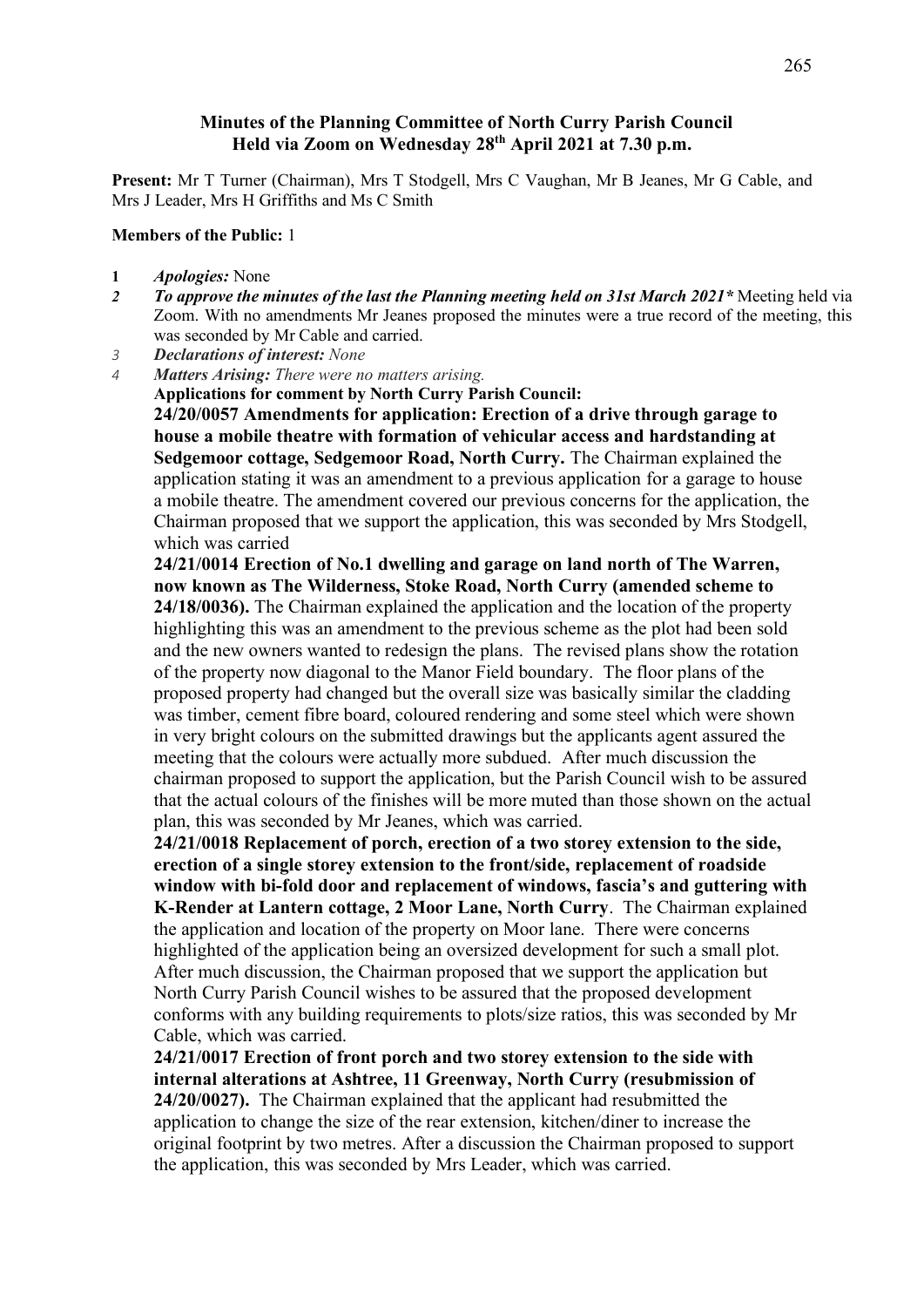## **Minutes of the Planning Committee of North Curry Parish Council Held via Zoom on Wednesday 28th April 2021 at 7.30 p.m.**

**Present:** Mr T Turner (Chairman), Mrs T Stodgell, Mrs C Vaughan, Mr B Jeanes, Mr G Cable, and Mrs J Leader, Mrs H Griffiths and Ms C Smith

## **Members of the Public:** 1

- **1** *Apologies:* None
- *2 To approve the minutes of the last the Planning meeting held on 31st March 2021\** Meeting held via Zoom. With no amendments Mr Jeanes proposed the minutes were a true record of the meeting, this was seconded by Mr Cable and carried.
- *3 Declarations of interest: None*
- *4 Matters Arising: There were no matters arising.* **Applications for comment by North Curry Parish Council: 24/20/0057 Amendments for application: Erection of a drive through garage to house a mobile theatre with formation of vehicular access and hardstanding at Sedgemoor cottage, Sedgemoor Road, North Curry.** The Chairman explained the application stating it was an amendment to a previous application for a garage to house a mobile theatre. The amendment covered our previous concerns for the application, the Chairman proposed that we support the application, this was seconded by Mrs Stodgell, which was carried
	- **24/21/0014 Erection of No.1 dwelling and garage on land north of The Warren, now known as The Wilderness, Stoke Road, North Curry (amended scheme to 24/18/0036).** The Chairman explained the application and the location of the property highlighting this was an amendment to the previous scheme as the plot had been sold and the new owners wanted to redesign the plans. The revised plans show the rotation of the property now diagonal to the Manor Field boundary. The floor plans of the proposed property had changed but the overall size was basically similar the cladding was timber, cement fibre board, coloured rendering and some steel which were shown in very bright colours on the submitted drawings but the applicants agent assured the meeting that the colours were actually more subdued. After much discussion the chairman proposed to support the application, but the Parish Council wish to be assured that the actual colours of the finishes will be more muted than those shown on the actual plan, this was seconded by Mr Jeanes, which was carried.

**24/21/0018 Replacement of porch, erection of a two storey extension to the side, erection of a single storey extension to the front/side, replacement of roadside window with bi-fold door and replacement of windows, fascia's and guttering with K-Render at Lantern cottage, 2 Moor Lane, North Curry**. The Chairman explained the application and location of the property on Moor lane. There were concerns highlighted of the application being an oversized development for such a small plot. After much discussion, the Chairman proposed that we support the application but North Curry Parish Council wishes to be assured that the proposed development conforms with any building requirements to plots/size ratios, this was seconded by Mr Cable, which was carried.

**24/21/0017 Erection of front porch and two storey extension to the side with internal alterations at Ashtree, 11 Greenway, North Curry (resubmission of 24/20/0027).** The Chairman explained that the applicant had resubmitted the application to change the size of the rear extension, kitchen/diner to increase the original footprint by two metres. After a discussion the Chairman proposed to support the application, this was seconded by Mrs Leader, which was carried.